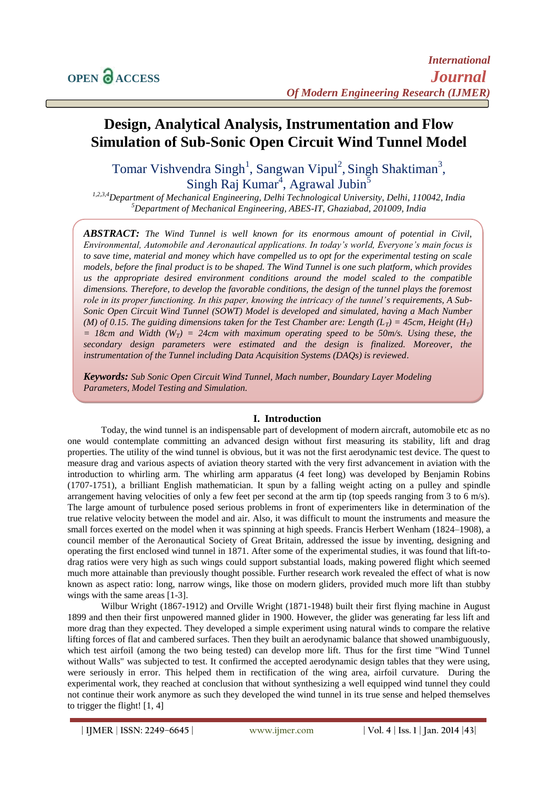$\overline{a}$ 

# **Design, Analytical Analysis, Instrumentation and Flow Simulation of Sub-Sonic Open Circuit Wind Tunnel Model**

Tomar Vishvendra Singh<sup>1</sup>, Sangwan Vipul<sup>2</sup>, Singh Shaktiman<sup>3</sup>, Singh Raj Kumar<sup>4</sup>, Agrawal Jubin<sup>5</sup>

*1,2,3,4Department of Mechanical Engineering, Delhi Technological University, Delhi, 110042, India <sup>5</sup>Department of Mechanical Engineering, ABES-IT, Ghaziabad, 201009, India*

*ABSTRACT: The Wind Tunnel is well known for its enormous amount of potential in Civil, Environmental, Automobile and Aeronautical applications. In today's world, Everyone's main focus is to save time, material and money which have compelled us to opt for the experimental testing on scale models, before the final product is to be shaped. The Wind Tunnel is one such platform, which provides us the appropriate desired environment conditions around the model scaled to the compatible dimensions. Therefore, to develop the favorable conditions, the design of the tunnel plays the foremost role in its proper functioning. In this paper, knowing the intricacy of the tunnel's requirements, A Sub-Sonic Open Circuit Wind Tunnel (SOWT) Model is developed and simulated, having a Mach Number (M) of 0.15. The guiding dimensions taken for the Test Chamber are: Length (L<sub>T</sub>) = 45cm, Height (H<sub>T</sub>) = 18cm and Width (WT) = 24cm with maximum operating speed to be 50m/s. Using these, the secondary design parameters were estimated and the design is finalized. Moreover, the instrumentation of the Tunnel including Data Acquisition Systems (DAQs) is reviewed.*

*Keywords: Sub Sonic Open Circuit Wind Tunnel, Mach number, Boundary Layer Modeling Parameters, Model Testing and Simulation.*

#### **I. Introduction**

Today, the wind tunnel is an indispensable part of development of modern aircraft, automobile etc as no one would contemplate committing an advanced design without first measuring its stability, lift and drag properties. The utility of the wind tunnel is obvious, but it was not the first aerodynamic test device. The quest to measure drag and various aspects of aviation theory started with the very first advancement in aviation with the introduction to whirling arm. The whirling arm apparatus (4 feet long) was developed by Benjamin Robins (1707-1751), a brilliant English mathematician. It spun by a falling weight acting on a pulley and spindle arrangement having velocities of only a few feet per second at the arm tip (top speeds ranging from 3 to 6 m/s). The large amount of turbulence posed serious problems in front of experimenters like in determination of the true relative velocity between the model and air. Also, it was difficult to mount the instruments and measure the small forces exerted on the model when it was spinning at high speeds. Francis Herbert Wenham (1824–1908), a council member of the Aeronautical Society of Great Britain, addressed the issue by inventing, designing and operating the first enclosed wind tunnel in 1871. After some of the experimental studies, it was found that lift-todrag ratios were very high as such wings could support substantial loads, making powered flight which seemed much more attainable than previously thought possible. Further research work revealed the effect of what is now known as aspect ratio: long, narrow wings, like those on modern gliders, provided much more lift than stubby wings with the same areas [1-3].

Wilbur Wright (1867-1912) and Orville Wright (1871-1948) built their first flying machine in August 1899 and then their first unpowered manned glider in 1900. However, the glider was generating far less lift and more drag than they expected. They developed a simple experiment using natural winds to compare the relative lifting forces of flat and cambered surfaces. Then they built an aerodynamic balance that showed unambiguously, which test airfoil (among the two being tested) can develop more lift. Thus for the first time "Wind Tunnel without Walls" was subjected to test. It confirmed the accepted aerodynamic design tables that they were using, were seriously in error. This helped them in rectification of the wing area, airfoil curvature. During the experimental work, they reached at conclusion that without synthesizing a well equipped wind tunnel they could not continue their work anymore as such they developed the wind tunnel in its true sense and helped themselves to trigger the flight! [1, 4]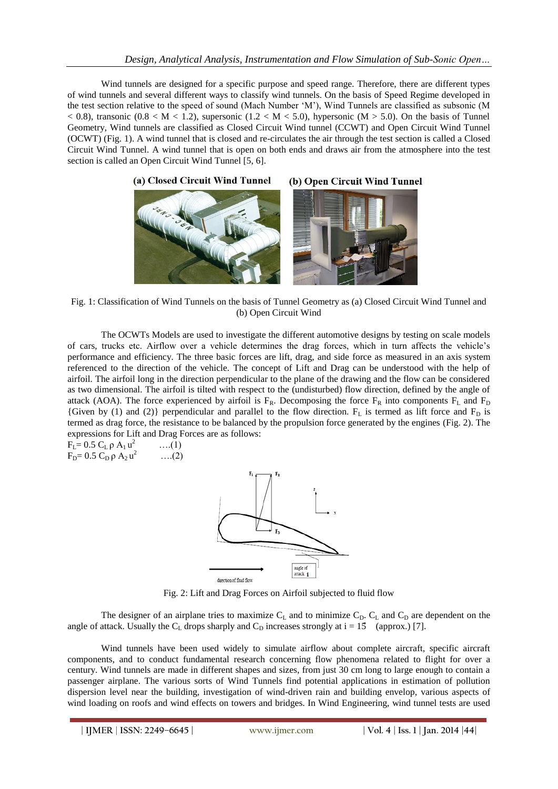#### *Design, Analytical Analysis, Instrumentation and Flow Simulation of Sub-Sonic Open…*

Wind tunnels are designed for a specific purpose and speed range. Therefore, there are different types of wind tunnels and several different ways to classify wind tunnels. On the basis of Speed Regime developed in the test section relative to the speed of sound (Mach Number "M"), Wind Tunnels are classified as subsonic (M  $<$  0.8), transonic (0.8  $<$  M  $<$  1.2), supersonic (1.2  $<$  M  $<$  5.0), hypersonic (M  $>$  5.0). On the basis of Tunnel Geometry, Wind tunnels are classified as Closed Circuit Wind tunnel (CCWT) and Open Circuit Wind Tunnel (OCWT) (Fig. 1). A wind tunnel that is closed and re-circulates the air through the test section is called a Closed Circuit Wind Tunnel. A wind tunnel that is open on both ends and draws air from the atmosphere into the test section is called an Open Circuit Wind Tunnel [5, 6].



Fig. 1: Classification of Wind Tunnels on the basis of Tunnel Geometry as (a) Closed Circuit Wind Tunnel and (b) Open Circuit Wind

The OCWTs Models are used to investigate the different automotive designs by testing on scale models of cars, trucks etc. Airflow over a vehicle determines the drag forces, which in turn affects the vehicle"s performance and efficiency. The three basic forces are lift, drag, and side force as measured in an axis system referenced to the direction of the vehicle. The concept of Lift and Drag can be understood with the help of airfoil. The airfoil long in the direction perpendicular to the plane of the drawing and the flow can be considered as two dimensional. The airfoil is tilted with respect to the (undisturbed) flow direction, defined by the angle of attack (AOA). The force experienced by airfoil is  $F_R$ . Decomposing the force  $F_R$  into components  $F_L$  and  $F_D$ {Given by (1) and (2)} perpendicular and parallel to the flow direction.  $F_L$  is termed as lift force and  $F_D$  is termed as drag force, the resistance to be balanced by the propulsion force generated by the engines (Fig. 2). The expressions for Lift and Drag Forces are as follows:

 $F_L = 0.5 C_L \rho A_1 u^2$  ….(1)  $F_D$ = 0.5 C<sub>D</sub>ρ A<sub>2</sub> u<sup>2</sup> ….(2)



Fig. 2: Lift and Drag Forces on Airfoil subjected to fluid flow

The designer of an airplane tries to maximize  $C_L$  and to minimize  $C_D$ .  $C_L$  and  $C_D$  are dependent on the angle of attack. Usually the  $C_L$  drops sharply and  $C_D$  increases strongly at  $i = 15$  (approx.) [7].

Wind tunnels have been used widely to simulate airflow about complete aircraft, specific aircraft components, and to conduct fundamental research concerning flow phenomena related to flight for over a century. Wind tunnels are made in different shapes and sizes, from just 30 cm long to large enough to contain a passenger airplane. The various sorts of Wind Tunnels find potential applications in estimation of pollution dispersion level near the building, investigation of wind-driven rain and building envelop, various aspects of wind loading on roofs and wind effects on towers and bridges. In Wind Engineering, wind tunnel tests are used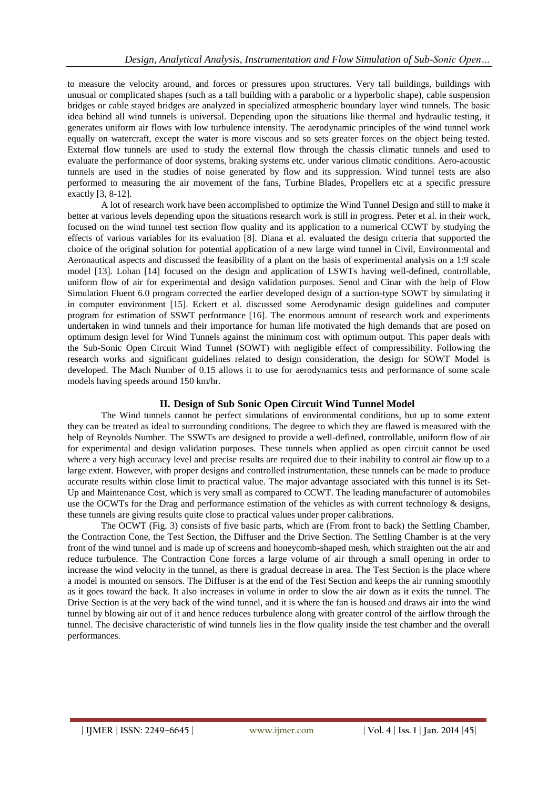to measure the velocity around, and forces or pressures upon structures. Very tall buildings, buildings with unusual or complicated shapes (such as a tall building with a parabolic or a hyperbolic shape), cable suspension bridges or cable stayed bridges are analyzed in specialized atmospheric boundary layer wind tunnels. The basic idea behind all wind tunnels is universal. Depending upon the situations like thermal and hydraulic testing, it generates uniform air flows with low turbulence intensity. The aerodynamic principles of the wind tunnel work equally on watercraft, except the water is more viscous and so sets greater forces on the object being tested. External flow tunnels are used to study the external flow through the chassis climatic tunnels and used to evaluate the performance of door systems, braking systems etc. under various climatic conditions. Aero-acoustic tunnels are used in the studies of noise generated by flow and its suppression. Wind tunnel tests are also performed to measuring the air movement of the fans, Turbine Blades, Propellers etc at a specific pressure exactly [3, 8-12].

A lot of research work have been accomplished to optimize the Wind Tunnel Design and still to make it better at various levels depending upon the situations research work is still in progress. Peter et al. in their work, focused on the wind tunnel test section flow quality and its application to a numerical CCWT by studying the effects of various variables for its evaluation [8]. Diana et al. evaluated the design criteria that supported the choice of the original solution for potential application of a new large wind tunnel in Civil, Environmental and Aeronautical aspects and discussed the feasibility of a plant on the basis of experimental analysis on a 1:9 scale model [13]. Lohan [14] focused on the design and application of LSWTs having well-defined, controllable, uniform flow of air for experimental and design validation purposes. Senol and Cinar with the help of Flow Simulation Fluent 6.0 program corrected the earlier developed design of a suction-type SOWT by simulating it in computer environment [15]. Eckert et al. discussed some Aerodynamic design guidelines and computer program for estimation of SSWT performance [16]. The enormous amount of research work and experiments undertaken in wind tunnels and their importance for human life motivated the high demands that are posed on optimum design level for Wind Tunnels against the minimum cost with optimum output. This paper deals with the Sub-Sonic Open Circuit Wind Tunnel (SOWT) with negligible effect of compressibility. Following the research works and significant guidelines related to design consideration, the design for SOWT Model is developed. The Mach Number of 0.15 allows it to use for aerodynamics tests and performance of some scale models having speeds around 150 km/hr.

## **II. Design of Sub Sonic Open Circuit Wind Tunnel Model**

The Wind tunnels cannot be perfect simulations of environmental conditions, but up to some extent they can be treated as ideal to surrounding conditions. The degree to which they are flawed is measured with the help of Reynolds Number. The SSWTs are designed to provide a well-defined, controllable, uniform flow of air for experimental and design validation purposes. These tunnels when applied as open circuit cannot be used where a very high accuracy level and precise results are required due to their inability to control air flow up to a large extent. However, with proper designs and controlled instrumentation, these tunnels can be made to produce accurate results within close limit to practical value. The major advantage associated with this tunnel is its Set-Up and Maintenance Cost, which is very small as compared to CCWT. The leading manufacturer of automobiles use the OCWTs for the Drag and performance estimation of the vehicles as with current technology & designs, these tunnels are giving results quite close to practical values under proper calibrations.

The OCWT (Fig. 3) consists of five basic parts, which are (From front to back) the Settling Chamber, the Contraction Cone, the Test Section, the Diffuser and the Drive Section. The Settling Chamber is at the very front of the wind tunnel and is made up of screens and honeycomb-shaped mesh, which straighten out the air and reduce turbulence. The Contraction Cone forces a large volume of air through a small opening in order to increase the wind velocity in the tunnel, as there is gradual decrease in area. The Test Section is the place where a model is mounted on sensors. The Diffuser is at the end of the Test Section and keeps the air running smoothly as it goes toward the back. It also increases in volume in order to slow the air down as it exits the tunnel. The Drive Section is at the very back of the wind tunnel, and it is where the fan is housed and draws air into the wind tunnel by blowing air out of it and hence reduces turbulence along with greater control of the airflow through the tunnel. The decisive characteristic of wind tunnels lies in the flow quality inside the test chamber and the overall performances.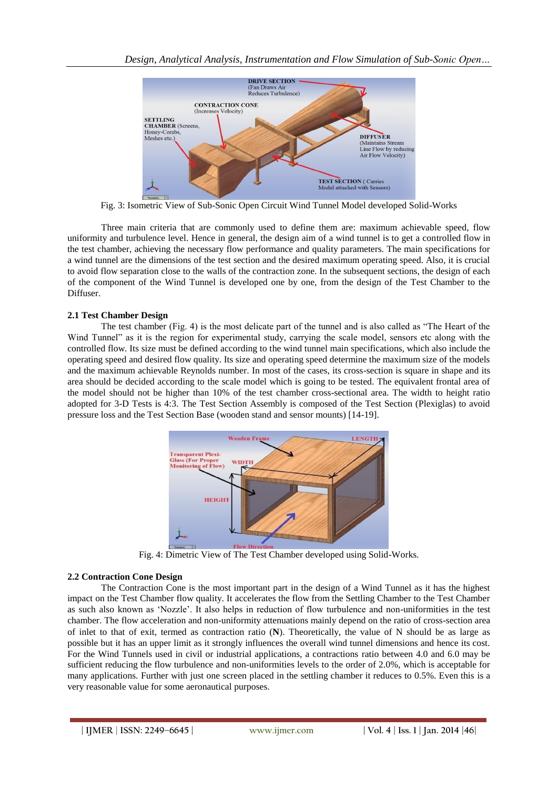

Fig. 3: Isometric View of Sub-Sonic Open Circuit Wind Tunnel Model developed Solid-Works

Three main criteria that are commonly used to define them are: maximum achievable speed, flow uniformity and turbulence level. Hence in general, the design aim of a wind tunnel is to get a controlled flow in the test chamber, achieving the necessary flow performance and quality parameters. The main specifications for a wind tunnel are the dimensions of the test section and the desired maximum operating speed. Also, it is crucial to avoid flow separation close to the walls of the contraction zone. In the subsequent sections, the design of each of the component of the Wind Tunnel is developed one by one, from the design of the Test Chamber to the Diffuser.

#### **2.1 Test Chamber Design**

The test chamber (Fig. 4) is the most delicate part of the tunnel and is also called as "The Heart of the Wind Tunnel" as it is the region for experimental study, carrying the scale model, sensors etc along with the controlled flow. Its size must be defined according to the wind tunnel main specifications, which also include the operating speed and desired flow quality. Its size and operating speed determine the maximum size of the models and the maximum achievable Reynolds number. In most of the cases, its cross-section is square in shape and its area should be decided according to the scale model which is going to be tested. The equivalent frontal area of the model should not be higher than 10% of the test chamber cross-sectional area. The width to height ratio adopted for 3-D Tests is 4:3. The Test Section Assembly is composed of the Test Section (Plexiglas) to avoid pressure loss and the Test Section Base (wooden stand and sensor mounts) [14-19].



Fig. 4: Dimetric View of The Test Chamber developed using Solid-Works.

#### **2.2 Contraction Cone Design**

The Contraction Cone is the most important part in the design of a Wind Tunnel as it has the highest impact on the Test Chamber flow quality. It accelerates the flow from the Settling Chamber to the Test Chamber as such also known as "Nozzle". It also helps in reduction of flow turbulence and non-uniformities in the test chamber. The flow acceleration and non-uniformity attenuations mainly depend on the ratio of cross-section area of inlet to that of exit, termed as contraction ratio (**N**). Theoretically, the value of N should be as large as possible but it has an upper limit as it strongly influences the overall wind tunnel dimensions and hence its cost. For the Wind Tunnels used in civil or industrial applications, a contractions ratio between 4.0 and 6.0 may be sufficient reducing the flow turbulence and non-uniformities levels to the order of 2.0%, which is acceptable for many applications. Further with just one screen placed in the settling chamber it reduces to 0.5%. Even this is a very reasonable value for some aeronautical purposes.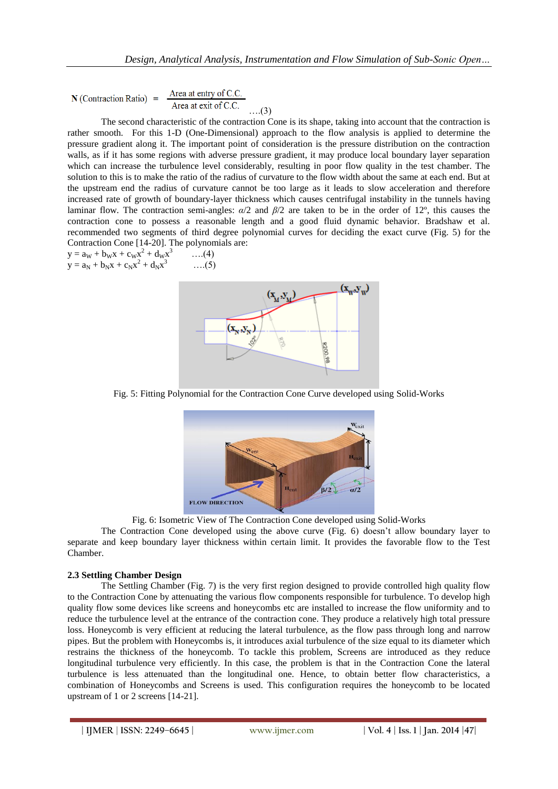$$
N (Contraction Ratio) = \frac{Area at entry of C.C.}{Area at exit of C.C.} \dots (3)
$$

The second characteristic of the contraction Cone is its shape, taking into account that the contraction is rather smooth. For this 1-D (One-Dimensional) approach to the flow analysis is applied to determine the pressure gradient along it. The important point of consideration is the pressure distribution on the contraction walls, as if it has some regions with adverse pressure gradient, it may produce local boundary layer separation which can increase the turbulence level considerably, resulting in poor flow quality in the test chamber. The solution to this is to make the ratio of the radius of curvature to the flow width about the same at each end. But at the upstream end the radius of curvature cannot be too large as it leads to slow acceleration and therefore increased rate of growth of boundary-layer thickness which causes centrifugal instability in the tunnels having laminar flow. The contraction semi-angles: *α*/2 and *β*/2 are taken to be in the order of 12º, this causes the contraction cone to possess a reasonable length and a good fluid dynamic behavior. Bradshaw et al. recommended two segments of third degree polynomial curves for deciding the exact curve (Fig. 5) for the Contraction Cone [14-20]. The polynomials are:

$$
y = aN + bWx + cWx2 + dWx3 \t\t\t\t\t...(4)
$$
  
y = a<sub>N</sub> + b<sub>N</sub>x + c<sub>N</sub>x<sup>2</sup> + d<sub>N</sub>x<sup>3</sup> \t\t\t\t\t\t...(5)



Fig. 5: Fitting Polynomial for the Contraction Cone Curve developed using Solid-Works



Fig. 6: Isometric View of The Contraction Cone developed using Solid-Works

The Contraction Cone developed using the above curve (Fig. 6) doesn"t allow boundary layer to separate and keep boundary layer thickness within certain limit. It provides the favorable flow to the Test Chamber.

#### **2.3 Settling Chamber Design**

The Settling Chamber (Fig. 7) is the very first region designed to provide controlled high quality flow to the Contraction Cone by attenuating the various flow components responsible for turbulence. To develop high quality flow some devices like screens and honeycombs etc are installed to increase the flow uniformity and to reduce the turbulence level at the entrance of the contraction cone. They produce a relatively high total pressure loss. Honeycomb is very efficient at reducing the lateral turbulence, as the flow pass through long and narrow pipes. But the problem with Honeycombs is, it introduces axial turbulence of the size equal to its diameter which restrains the thickness of the honeycomb. To tackle this problem, Screens are introduced as they reduce longitudinal turbulence very efficiently. In this case, the problem is that in the Contraction Cone the lateral turbulence is less attenuated than the longitudinal one. Hence, to obtain better flow characteristics, a combination of Honeycombs and Screens is used. This configuration requires the honeycomb to be located upstream of 1 or 2 screens [14-21].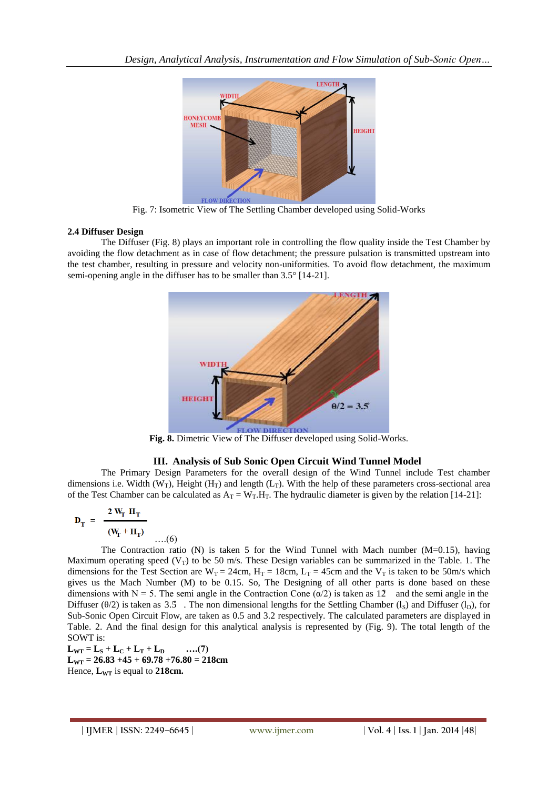

Fig. 7: Isometric View of The Settling Chamber developed using Solid-Works

#### **2.4 Diffuser Design**

The Diffuser (Fig. 8) plays an important role in controlling the flow quality inside the Test Chamber by avoiding the flow detachment as in case of flow detachment; the pressure pulsation is transmitted upstream into the test chamber, resulting in pressure and velocity non-uniformities. To avoid flow detachment, the maximum semi-opening angle in the diffuser has to be smaller than 3.5° [14-21].



**Fig. 8.** Dimetric View of The Diffuser developed using Solid-Works.

## **III. Analysis of Sub Sonic Open Circuit Wind Tunnel Model**

The Primary Design Parameters for the overall design of the Wind Tunnel include Test chamber dimensions i.e. Width ( $W_T$ ), Height ( $H_T$ ) and length ( $L_T$ ). With the help of these parameters cross-sectional area of the Test Chamber can be calculated as  $A_T = W_T.H_T$ . The hydraulic diameter is given by the relation [14-21]:

$$
D_T = \frac{2 W_T H_T}{(W_T + H_T)}
$$
...(6)

The Contraction ratio  $(N)$  is taken 5 for the Wind Tunnel with Mach number  $(M=0.15)$ , having Maximum operating speed  $(V_T)$  to be 50 m/s. These Design variables can be summarized in the Table. 1. The dimensions for the Test Section are  $W_T = 24$ cm,  $H_T = 18$ cm,  $L_T = 45$ cm and the  $V_T$  is taken to be 50m/s which gives us the Mach Number (M) to be 0.15. So, The Designing of all other parts is done based on these dimensions with N = 5. The semi angle in the Contraction Cone  $(\alpha/2)$  is taken as 12° and the semi angle in the Diffuser ( $\theta$ /2) is taken as 3.5 The non dimensional lengths for the Settling Chamber ( $l_s$ ) and Diffuser ( $l_p$ ), for Sub-Sonic Open Circuit Flow, are taken as 0.5 and 3.2 respectively. The calculated parameters are displayed in Table. 2. And the final design for this analytical analysis is represented by (Fig. 9). The total length of the SOWT is:

 $L_{WT} = L_S + L_C + L_T + L_D$  ….(7)  $L_{\text{WT}}$  = 26.83 +45 + 69.78 +76.80 = 218cm Hence, **LWT** is equal to **218cm.**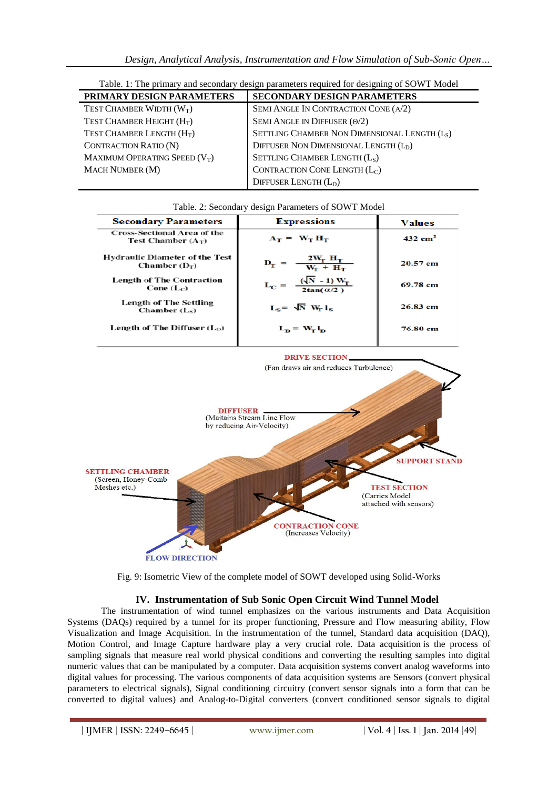| PRIMARY DESIGN PARAMETERS       | <b>SECONDARY DESIGN PARAMETERS</b>                        |  |
|---------------------------------|-----------------------------------------------------------|--|
| TEST CHAMBER WIDTH $(W_T)$      | SEMI ANGLE IN CONTRACTION CONE (A/2)                      |  |
| TEST CHAMBER HEIGHT $(H_T)$     | SEMI ANGLE IN DIFFUSER $(0/2)$                            |  |
| TEST CHAMBER LENGTH $(H_T)$     | SETTLING CHAMBER NON DIMENSIONAL LENGTH (L <sub>S</sub> ) |  |
| <b>CONTRACTION RATIO (N)</b>    | DIFFUSER NON DIMENSIONAL LENGTH (L <sub>D</sub> )         |  |
| MAXIMUM OPERATING SPEED $(V_T)$ | SETTLING CHAMBER LENGTH (LS)                              |  |
| <b>MACH NUMBER (M)</b>          | CONTRACTION CONE LENGTH $(L_C)$                           |  |
|                                 | DIFFUSER LENGTH $(L_D)$                                   |  |
|                                 |                                                           |  |

| $A_T = W_T H_T$                                             | $432$ cm <sup>2</sup>                                                                               |
|-------------------------------------------------------------|-----------------------------------------------------------------------------------------------------|
| $\frac{2W_T H_T}{W_T + H_T}$<br>$\mathbf{D}_{\mathbf{r}} =$ | 20.57 cm                                                                                            |
|                                                             | 69.78 cm                                                                                            |
| $L_s = \sqrt{N} W_r l_s$                                    | 26.83 cm                                                                                            |
| $L_p = W_T l_p$                                             | 76.80 cm                                                                                            |
|                                                             | $\mathcal{L}_{\rm C} = -\frac{\left(\sqrt{\rm N}-1\right) \,\mathrm{W}_{\rm T}}{2\tan(\alpha/2\,)}$ |

#### Table. 2: Secondary design Parameters of SOWT Model

**DIFFUSER** (Maitains Stream Line Flow by reducing Air-Velocity) **SUPPORT STAND SETTLING CHAMBER** (Screen, Honey-Comb **TEST SECTION** Meshes etc.) (Carries Model attached with sensors) **CONTRACTION CONE** (Increases Velocity) **FLOW DIRECTION** 

Fig. 9: Isometric View of the complete model of SOWT developed using Solid-Works

# **IV. Instrumentation of Sub Sonic Open Circuit Wind Tunnel Model**

The instrumentation of wind tunnel emphasizes on the various instruments and Data Acquisition Systems (DAQs) required by a tunnel for its proper functioning, Pressure and Flow measuring ability, Flow Visualization and Image Acquisition. In the instrumentation of the tunnel, Standard data acquisition (DAQ), Motion Control, and Image Capture hardware play a very crucial role. Data acquisition is the process of sampling signals that measure real world physical conditions and converting the resulting samples into digital numeric values that can be manipulated by a computer. Data acquisition systems convert analog waveforms into digital values for processing. The various components of data acquisition systems are Sensors (convert physical parameters to electrical signals), Signal conditioning circuitry (convert sensor signals into a form that can be converted to digital values) and Analog-to-Digital converters (convert conditioned sensor signals to digital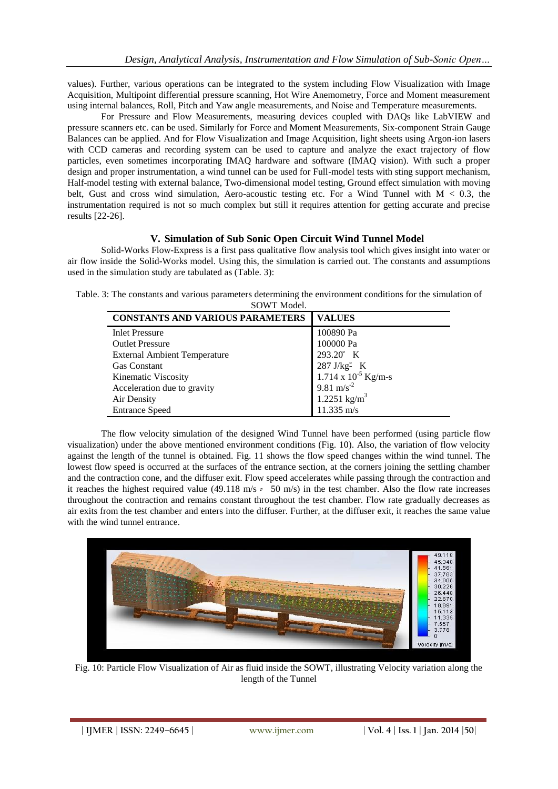values). Further, various operations can be integrated to the system including Flow Visualization with Image Acquisition, Multipoint differential pressure scanning, Hot Wire Anemometry, Force and Moment measurement using internal balances, Roll, Pitch and Yaw angle measurements, and Noise and Temperature measurements.

For Pressure and Flow Measurements, measuring devices coupled with DAQs like LabVIEW and pressure scanners etc. can be used. Similarly for Force and Moment Measurements, Six-component Strain Gauge Balances can be applied. And for Flow Visualization and Image Acquisition, light sheets using Argon-ion lasers with CCD cameras and recording system can be used to capture and analyze the exact trajectory of flow particles, even sometimes incorporating IMAQ hardware and software (IMAQ vision). With such a proper design and proper instrumentation, a wind tunnel can be used for Full-model tests with sting support mechanism, Half-model testing with external balance, Two-dimensional model testing, Ground effect simulation with moving belt, Gust and cross wind simulation, Aero-acoustic testing etc. For a Wind Tunnel with  $M < 0.3$ , the instrumentation required is not so much complex but still it requires attention for getting accurate and precise results [22-26].

#### **V. Simulation of Sub Sonic Open Circuit Wind Tunnel Model**

Solid-Works Flow-Express is a first pass qualitative flow analysis tool which gives insight into water or air flow inside the Solid-Works model. Using this, the simulation is carried out. The constants and assumptions used in the simulation study are tabulated as (Table. 3):

Table. 3: The constants and various parameters determining the environment conditions for the simulation of SOWT Model.

| $50.11$ $11.04$<br><b>CONSTANTS AND VARIOUS PARAMETERS</b> | <b>VALUES</b>                                              |
|------------------------------------------------------------|------------------------------------------------------------|
|                                                            |                                                            |
| <b>Inlet Pressure</b>                                      | 100890 Pa                                                  |
| <b>Outlet Pressure</b>                                     | 100000 Pa                                                  |
| <b>External Ambient Temperature</b>                        | 293.20° K                                                  |
| <b>Gas Constant</b>                                        |                                                            |
| Kinematic Viscosity                                        | 287 J/kg <sup>2</sup> K<br>1.714 x 10 <sup>-5</sup> Kg/m-s |
| Acceleration due to gravity                                | 9.81 m/s <sup>-2</sup>                                     |
| Air Density                                                | $1.2251 \text{ kg/m}^3$                                    |
| <b>Entrance Speed</b>                                      | $11.335 \text{ m/s}$                                       |

The flow velocity simulation of the designed Wind Tunnel have been performed (using particle flow visualization) under the above mentioned environment conditions (Fig. 10). Also, the variation of flow velocity against the length of the tunnel is obtained. Fig. 11 shows the flow speed changes within the wind tunnel. The lowest flow speed is occurred at the surfaces of the entrance section, at the corners joining the settling chamber and the contraction cone, and the diffuser exit. Flow speed accelerates while passing through the contraction and it reaches the highest required value (49.118 m/s =  $50 \text{ m/s}$ ) in the test chamber. Also the flow rate increases throughout the contraction and remains constant throughout the test chamber. Flow rate gradually decreases as air exits from the test chamber and enters into the diffuser. Further, at the diffuser exit, it reaches the same value with the wind tunnel entrance.



Fig. 10: Particle Flow Visualization of Air as fluid inside the SOWT, illustrating Velocity variation along the length of the Tunnel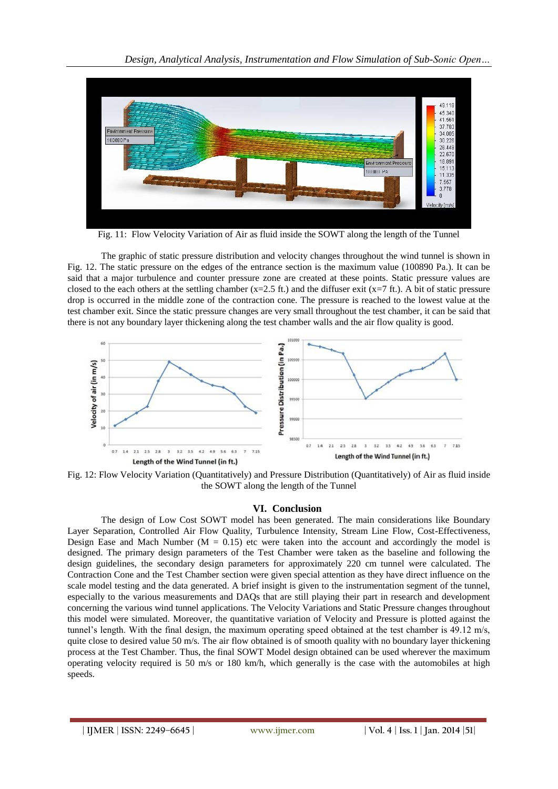

Fig. 11: Flow Velocity Variation of Air as fluid inside the SOWT along the length of the Tunnel

The graphic of static pressure distribution and velocity changes throughout the wind tunnel is shown in Fig. 12. The static pressure on the edges of the entrance section is the maximum value (100890 Pa.). It can be said that a major turbulence and counter pressure zone are created at these points. Static pressure values are closed to the each others at the settling chamber (x=2.5 ft.) and the diffuser exit (x=7 ft.). A bit of static pressure drop is occurred in the middle zone of the contraction cone. The pressure is reached to the lowest value at the test chamber exit. Since the static pressure changes are very small throughout the test chamber, it can be said that there is not any boundary layer thickening along the test chamber walls and the air flow quality is good.



Fig. 12: Flow Velocity Variation (Quantitatively) and Pressure Distribution (Quantitatively) of Air as fluid inside the SOWT along the length of the Tunnel

#### **VI. Conclusion**

The design of Low Cost SOWT model has been generated. The main considerations like Boundary Layer Separation, Controlled Air Flow Quality, Turbulence Intensity, Stream Line Flow, Cost-Effectiveness, Design Ease and Mach Number ( $M = 0.15$ ) etc were taken into the account and accordingly the model is designed. The primary design parameters of the Test Chamber were taken as the baseline and following the design guidelines, the secondary design parameters for approximately 220 cm tunnel were calculated. The Contraction Cone and the Test Chamber section were given special attention as they have direct influence on the scale model testing and the data generated. A brief insight is given to the instrumentation segment of the tunnel, especially to the various measurements and DAQs that are still playing their part in research and development concerning the various wind tunnel applications. The Velocity Variations and Static Pressure changes throughout this model were simulated. Moreover, the quantitative variation of Velocity and Pressure is plotted against the tunnel's length. With the final design, the maximum operating speed obtained at the test chamber is 49.12 m/s, quite close to desired value 50 m/s. The air flow obtained is of smooth quality with no boundary layer thickening process at the Test Chamber. Thus, the final SOWT Model design obtained can be used wherever the maximum operating velocity required is 50 m/s or 180 km/h, which generally is the case with the automobiles at high speeds.